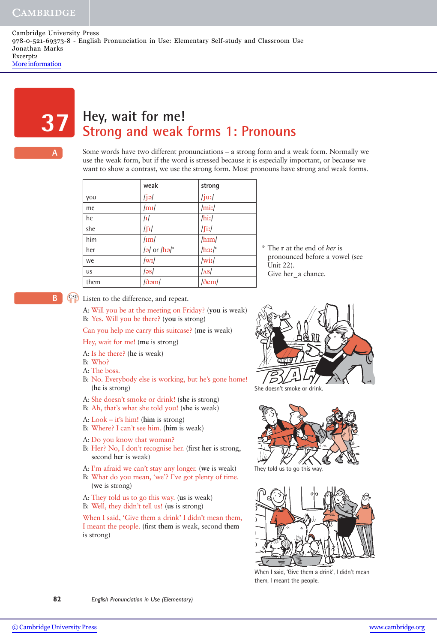Cambridge University Press 978-0-521-69373-8 - English Pronunciation in Use: Elementary Self-study and Classroom Use Jonathan Marks Excerpt2 [More information](http://www.cambridge.org/052169373X)

**A**

# **Hey, wait for me! 37 Strong and weak forms 1: Pronouns**

Some words have two different pronunciations – a strong form and a weak form. Normally we use the weak form, but if the word is stressed because it is especially important, or because we want to show a contrast, we use the strong form. Most pronouns have strong and weak forms.

|           | weak            | strong            |
|-----------|-----------------|-------------------|
| you       | jə              | $\int$ juː $\int$ |
| me        | /mI/            | $/$ miː/ $/$      |
| he        | $\sqrt{I}$      | /hii              |
| she       | $\int \int I$   | $\int \int$ iː/   |
| him       | $\text{Im}/$    | $\text{/him/}$    |
| her       | $ a $ or $ b $  | /h3I              |
| we        | $ w_1 $         | wix               |
| <b>us</b> | $ \mathsf{əs} $ | $\sqrt{As}$       |
| them      | /ðəm/           | $\delta$ em $/$   |

The **r** at the end of *her* is pronounced before a vowel (see Unit 22). Give her<sub>z</sub>a chance.

### Listen to the difference, and repeat. **<sup>B</sup> C50**

A: Will you be at the meeting on Friday? (**you** is weak) B: Yes. Will you be there? (**you** is strong)

Can you help me carry this suitcase? (**me** is weak)

Hey, wait for me! (**me** is strong)

- A: Is he there? (**he** is weak)
- B: Who?
- A: The boss.
- B: No. Everybody else is working, but he's gone home! (**he** is strong)
- A: She doesn't smoke or drink! (**she** is strong)
- B: Ah, that's what she told you! (**she** is weak)
- A: Look it's him! (**him** is strong)
- B: Where? I can't see him. (**him** is weak)
- A: Do you know that woman?
- B: Her? No, I don't recognise her. (first **her** is strong, second **her** is weak)
- A: I'm afraid we can't stay any longer. (**we** is weak)
- B: What do you mean, 'we'? I've got plenty of time. (**we** is strong)
- A: They told us to go this way. (**us** is weak) B: Well, they didn't tell us! (**us** is strong)

When I said, 'Give them a drink' I didn't mean them, I meant the people. (first **them** is weak, second **them** is strong)



She doesn't smoke or drink.



They told us to go this way.



When I said, 'Give them a drink', I didn't mean them, I meant the people.

**82** *English Pronunciation in Use (Elementary)*